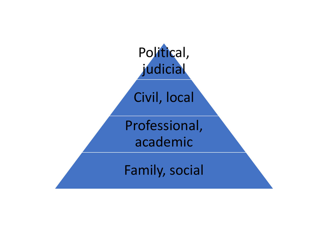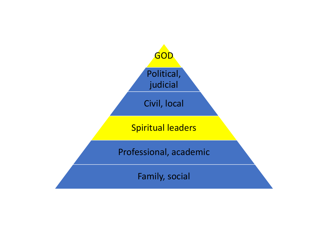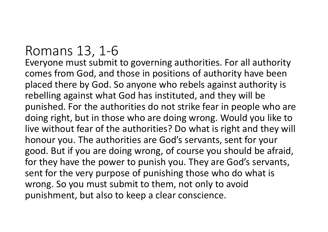## Romans 13, 1-6

Everyone must submit to governing authorities. For all authority comes from God, and those in positions of authority have been placed there by God. So anyone who rebels against authority is rebelling against what God has instituted, and they will be punished. For the authorities do not strike fear in people who are doing right, but in those who are doing wrong. Would you like to live without fear of the authorities? Do what is right and they will honour you. The authorities are God's servants, sent for your good. But if you are doing wrong, of course you should be afraid, for they have the power to punish you. They are God's servants, sent for the very purpose of punishing those who do what is wrong. So you must submit to them, not only to avoid punishment, but also to keep a clear conscience.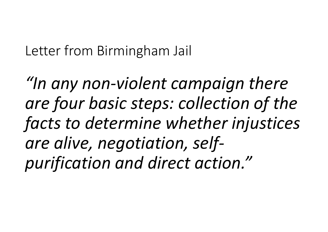Letter from Birmingham Jail

"In any non-violent campaign there are four basic steps: collection of the facts to determine whether injustices are alive, negotiation, selfpurification and direct action."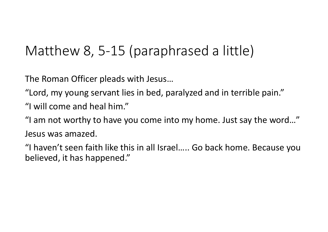## Matthew 8, 5-15 (paraphrased a little)

The Roman Officer pleads with Jesus…

"Lord, my young servant lies in bed, paralyzed and in terrible pain."

"I will come and heal him."

"I am not worthy to have you come into my home. Just say the word…" Jesus was amazed.

"I haven't seen faith like this in all Israel….. Go back home. Because you believed, it has happened."